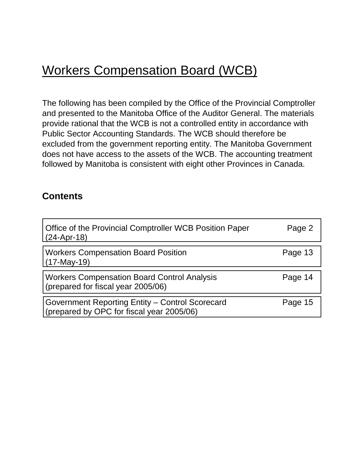# Workers Compensation Board (WCB)

The following has been compiled by the Office of the Provincial Comptroller and presented to the Manitoba Office of the Auditor General. The materials provide rational that the WCB is not a controlled entity in accordance with Public Sector Accounting Standards. The WCB should therefore be excluded from the government reporting entity. The Manitoba Government does not have access to the assets of the WCB. The accounting treatment followed by Manitoba is consistent with eight other Provinces in Canada.

## **Contents**

| Office of the Provincial Comptroller WCB Position Paper<br>$(24-Apr-18)$                     | Page 2  |
|----------------------------------------------------------------------------------------------|---------|
| <b>Workers Compensation Board Position</b><br>$(17-May-19)$                                  | Page 13 |
| <b>Workers Compensation Board Control Analysis</b><br>(prepared for fiscal year 2005/06)     | Page 14 |
| Government Reporting Entity - Control Scorecard<br>(prepared by OPC for fiscal year 2005/06) | Page 15 |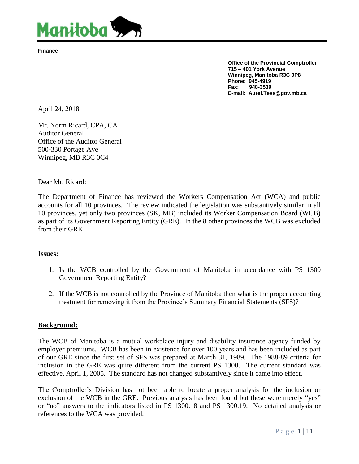<span id="page-1-0"></span>

**Finance**

**Office of the Provincial Comptroller 715 – 401 York Avenue Winnipeg, Manitoba R3C 0P8 Phone: 945-4919 Fax: 948-3539 E-mail: Aurel.Tess@gov.mb.ca**

April 24, 2018

Mr. Norm Ricard, CPA, CA Auditor General Office of the Auditor General 500-330 Portage Ave Winnipeg, MB R3C 0C4

Dear Mr. Ricard:

The Department of Finance has reviewed the Workers Compensation Act (WCA) and public accounts for all 10 provinces. The review indicated the legislation was substantively similar in all 10 provinces, yet only two provinces (SK, MB) included its Worker Compensation Board (WCB) as part of its Government Reporting Entity (GRE). In the 8 other provinces the WCB was excluded from their GRE.

## **Issues:**

- 1. Is the WCB controlled by the Government of Manitoba in accordance with PS 1300 Government Reporting Entity?
- 2. If the WCB is not controlled by the Province of Manitoba then what is the proper accounting treatment for removing it from the Province's Summary Financial Statements (SFS)?

#### **Background:**

The WCB of Manitoba is a mutual workplace injury and disability insurance agency funded by employer premiums. WCB has been in existence for over 100 years and has been included as part of our GRE since the first set of SFS was prepared at March 31, 1989. The 1988-89 criteria for inclusion in the GRE was quite different from the current PS 1300. The current standard was effective, April 1, 2005. The standard has not changed substantively since it came into effect.

The Comptroller's Division has not been able to locate a proper analysis for the inclusion or exclusion of the WCB in the GRE. Previous analysis has been found but these were merely "yes" or "no" answers to the indicators listed in PS 1300.18 and PS 1300.19. No detailed analysis or references to the WCA was provided.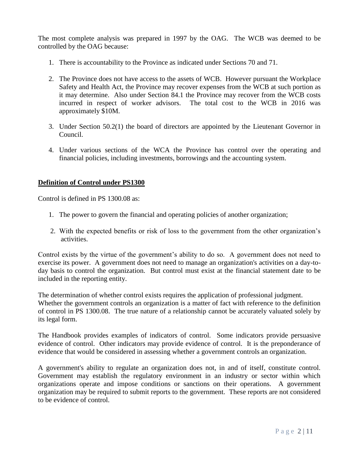The most complete analysis was prepared in 1997 by the OAG. The WCB was deemed to be controlled by the OAG because:

- 1. There is accountability to the Province as indicated under Sections 70 and 71.
- 2. The Province does not have access to the assets of WCB. However pursuant the Workplace Safety and Health Act, the Province may recover expenses from the WCB at such portion as it may determine. Also under Section 84.1 the Province may recover from the WCB costs incurred in respect of worker advisors. The total cost to the WCB in 2016 was approximately \$10M.
- 3. Under Section 50.2(1) the board of directors are appointed by the Lieutenant Governor in Council.
- 4. Under various sections of the WCA the Province has control over the operating and financial policies, including investments, borrowings and the accounting system.

## **Definition of Control under PS1300**

Control is defined in PS 1300.08 as:

- 1. The power to govern the financial and operating policies of another organization;
- 2. With the expected benefits or risk of loss to the government from the other organization's activities.

Control exists by the virtue of the government's ability to do so. A government does not need to exercise its power. A government does not need to manage an organization's activities on a day-today basis to control the organization. But control must exist at the financial statement date to be included in the reporting entity.

The determination of whether control exists requires the application of professional judgment. Whether the government controls an organization is a matter of fact with reference to the definition of control in PS 1300.08. The true nature of a relationship cannot be accurately valuated solely by its legal form.

The Handbook provides examples of indicators of control. Some indicators provide persuasive evidence of control. Other indicators may provide evidence of control. It is the preponderance of evidence that would be considered in assessing whether a government controls an organization.

A government's ability to regulate an organization does not, in and of itself, constitute control. Government may establish the regulatory environment in an industry or sector within which organizations operate and impose conditions or sanctions on their operations. A government organization may be required to submit reports to the government. These reports are not considered to be evidence of control.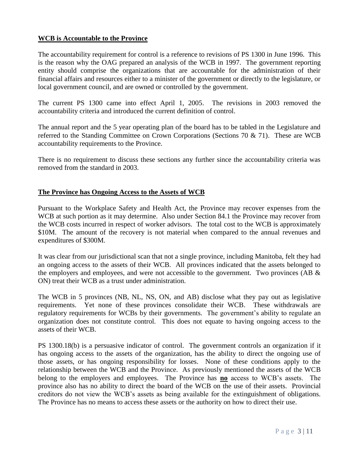## **WCB is Accountable to the Province**

The accountability requirement for control is a reference to revisions of PS 1300 in June 1996. This is the reason why the OAG prepared an analysis of the WCB in 1997. The government reporting entity should comprise the organizations that are accountable for the administration of their financial affairs and resources either to a minister of the government or directly to the legislature, or local government council, and are owned or controlled by the government.

The current PS 1300 came into effect April 1, 2005. The revisions in 2003 removed the accountability criteria and introduced the current definition of control.

The annual report and the 5 year operating plan of the board has to be tabled in the Legislature and referred to the Standing Committee on Crown Corporations (Sections 70 & 71). These are WCB accountability requirements to the Province.

There is no requirement to discuss these sections any further since the accountability criteria was removed from the standard in 2003.

## **The Province has Ongoing Access to the Assets of WCB**

Pursuant to the Workplace Safety and Health Act, the Province may recover expenses from the WCB at such portion as it may determine. Also under Section 84.1 the Province may recover from the WCB costs incurred in respect of worker advisors. The total cost to the WCB is approximately \$10M. The amount of the recovery is not material when compared to the annual revenues and expenditures of \$300M.

It was clear from our jurisdictional scan that not a single province, including Manitoba, felt they had an ongoing access to the assets of their WCB. All provinces indicated that the assets belonged to the employers and employees, and were not accessible to the government. Two provinces (AB  $\&$ ON) treat their WCB as a trust under administration.

The WCB in 5 provinces (NB, NL, NS, ON, and AB) disclose what they pay out as legislative requirements. Yet none of these provinces consolidate their WCB. These withdrawals are regulatory requirements for WCBs by their governments. The government's ability to regulate an organization does not constitute control. This does not equate to having ongoing access to the assets of their WCB.

PS 1300.18(b) is a persuasive indicator of control. The government controls an organization if it has ongoing access to the assets of the organization, has the ability to direct the ongoing use of those assets, or has ongoing responsibility for losses. None of these conditions apply to the relationship between the WCB and the Province. As previously mentioned the assets of the WCB belong to the employers and employees. The Province has **no** access to WCB's assets. The province also has no ability to direct the board of the WCB on the use of their assets. Provincial creditors do not view the WCB's assets as being available for the extinguishment of obligations. The Province has no means to access these assets or the authority on how to direct their use.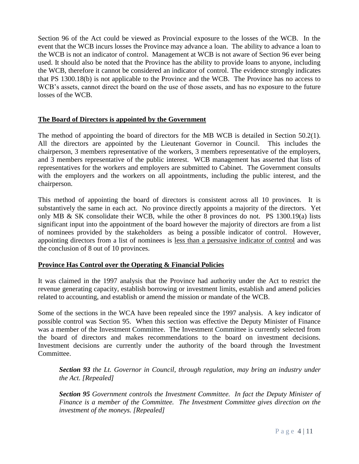Section 96 of the Act could be viewed as Provincial exposure to the losses of the WCB. In the event that the WCB incurs losses the Province may advance a loan. The ability to advance a loan to the WCB is not an indicator of control. Management at WCB is not aware of Section 96 ever being used. It should also be noted that the Province has the ability to provide loans to anyone, including the WCB, therefore it cannot be considered an indicator of control. The evidence strongly indicates that PS 1300.18(b) is not applicable to the Province and the WCB. The Province has no access to WCB's assets, cannot direct the board on the use of those assets, and has no exposure to the future losses of the WCB.

## **The Board of Directors is appointed by the Government**

The method of appointing the board of directors for the MB WCB is detailed in Section 50.2(1). All the directors are appointed by the Lieutenant Governor in Council. This includes the chairperson, 3 members representative of the workers, 3 members representative of the employers, and 3 members representative of the public interest. WCB management has asserted that lists of representatives for the workers and employers are submitted to Cabinet. The Government consults with the employers and the workers on all appointments, including the public interest, and the chairperson.

This method of appointing the board of directors is consistent across all 10 provinces. It is substantively the same in each act. No province directly appoints a majority of the directors. Yet only MB & SK consolidate their WCB, while the other 8 provinces do not. PS 1300.19(a) lists significant input into the appointment of the board however the majority of directors are from a list of nominees provided by the stakeholders as being a possible indicator of control. However, appointing directors from a list of nominees is less than a persuasive indicator of control and was the conclusion of 8 out of 10 provinces.

## **Province Has Control over the Operating & Financial Policies**

It was claimed in the 1997 analysis that the Province had authority under the Act to restrict the revenue generating capacity, establish borrowing or investment limits, establish and amend policies related to accounting, and establish or amend the mission or mandate of the WCB.

Some of the sections in the WCA have been repealed since the 1997 analysis. A key indicator of possible control was Section 95. When this section was effective the Deputy Minister of Finance was a member of the Investment Committee. The Investment Committee is currently selected from the board of directors and makes recommendations to the board on investment decisions. Investment decisions are currently under the authority of the board through the Investment Committee.

*Section 93 the Lt. Governor in Council, through regulation, may bring an industry under the Act. [Repealed]*

*Section 95 Government controls the Investment Committee. In fact the Deputy Minister of Finance is a member of the Committee. The Investment Committee gives direction on the investment of the moneys. [Repealed]*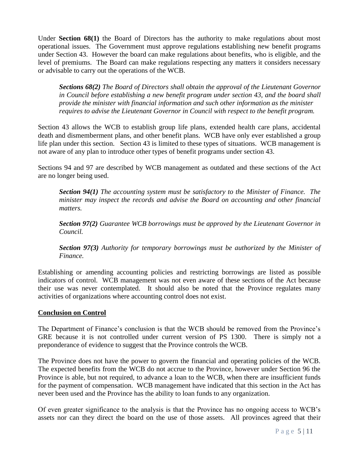Under **Section 68(1)** the Board of Directors has the authority to make regulations about most operational issues. The Government must approve regulations establishing new benefit programs under Section 43. However the board can make regulations about benefits, who is eligible, and the level of premiums. The Board can make regulations respecting any matters it considers necessary or advisable to carry out the operations of the WCB.

*Sections 68(2) The Board of Directors shall obtain the approval of the Lieutenant Governor in Council before establishing a new benefit program under section 43, and the board shall provide the minister with financial information and such other information as the minister requires to advise the Lieutenant Governor in Council with respect to the benefit program.*

Section 43 allows the WCB to establish group life plans, extended health care plans, accidental death and dismemberment plans, and other benefit plans. WCB have only ever established a group life plan under this section. Section 43 is limited to these types of situations. WCB management is not aware of any plan to introduce other types of benefit programs under section 43.

Sections 94 and 97 are described by WCB management as outdated and these sections of the Act are no longer being used.

*Section 94(1) The accounting system must be satisfactory to the Minister of Finance. The minister may inspect the records and advise the Board on accounting and other financial matters.*

*Section 97(2) Guarantee WCB borrowings must be approved by the Lieutenant Governor in Council.*

*Section 97(3) Authority for temporary borrowings must be authorized by the Minister of Finance.*

Establishing or amending accounting policies and restricting borrowings are listed as possible indicators of control. WCB management was not even aware of these sections of the Act because their use was never contemplated. It should also be noted that the Province regulates many activities of organizations where accounting control does not exist.

## **Conclusion on Control**

The Department of Finance's conclusion is that the WCB should be removed from the Province's GRE because it is not controlled under current version of PS 1300. There is simply not a preponderance of evidence to suggest that the Province controls the WCB.

The Province does not have the power to govern the financial and operating policies of the WCB. The expected benefits from the WCB do not accrue to the Province, however under Section 96 the Province is able, but not required, to advance a loan to the WCB, when there are insufficient funds for the payment of compensation. WCB management have indicated that this section in the Act has never been used and the Province has the ability to loan funds to any organization.

Of even greater significance to the analysis is that the Province has no ongoing access to WCB's assets nor can they direct the board on the use of those assets. All provinces agreed that their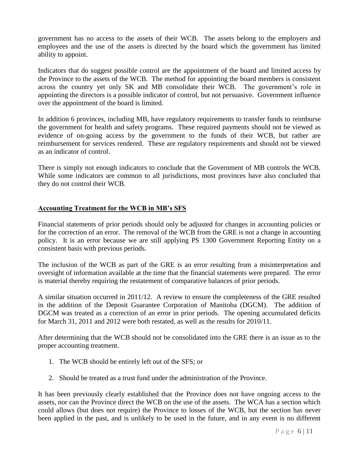government has no access to the assets of their WCB. The assets belong to the employers and employees and the use of the assets is directed by the board which the government has limited ability to appoint.

Indicators that do suggest possible control are the appointment of the board and limited access by the Province to the assets of the WCB. The method for appointing the board members is consistent across the country yet only SK and MB consolidate their WCB. The government's role in appointing the directors is a possible indicator of control, but not persuasive. Government influence over the appointment of the board is limited.

In addition 6 provinces, including MB, have regulatory requirements to transfer funds to reimburse the government for health and safety programs. These required payments should not be viewed as evidence of on-going access by the government to the funds of their WCB, but rather are reimbursement for services rendered. These are regulatory requirements and should not be viewed as an indicator of control.

There is simply not enough indicators to conclude that the Government of MB controls the WCB. While some indicators are common to all jurisdictions, most provinces have also concluded that they do not control their WCB.

## **Accounting Treatment for the WCB in MB's SFS**

Financial statements of prior periods should only be adjusted for changes in accounting policies or for the correction of an error. The removal of the WCB from the GRE is not a change in accounting policy. It is an error because we are still applying PS 1300 Government Reporting Entity on a consistent basis with previous periods.

The inclusion of the WCB as part of the GRE is an error resulting from a misinterpretation and oversight of information available at the time that the financial statements were prepared. The error is material thereby requiring the restatement of comparative balances of prior periods.

A similar situation occurred in 2011/12. A review to ensure the completeness of the GRE resulted in the addition of the Deposit Guarantee Corporation of Manitoba (DGCM). The addition of DGCM was treated as a correction of an error in prior periods. The opening accumulated deficits for March 31, 2011 and 2012 were both restated, as well as the results for 2010/11.

After determining that the WCB should not be consolidated into the GRE there is an issue as to the proper accounting treatment.

- 1. The WCB should be entirely left out of the SFS; or
- 2. Should be treated as a trust fund under the administration of the Province.

It has been previously clearly established that the Province does not have ongoing access to the assets, nor can the Province direct the WCB on the use of the assets. The WCA has a section which could allows (but does not require) the Province to losses of the WCB, but the section has never been applied in the past, and is unlikely to be used in the future, and in any event is no different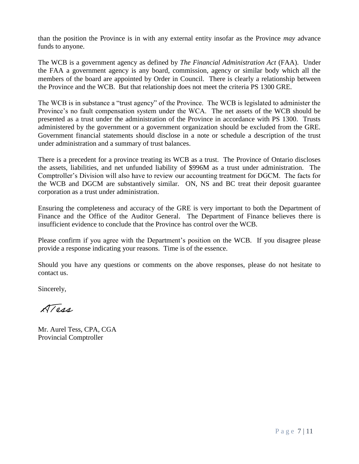than the position the Province is in with any external entity insofar as the Province *may* advance funds to anyone.

The WCB is a government agency as defined by *The Financial Administration Act* (FAA). Under the FAA a government agency is any board, commission, agency or similar body which all the members of the board are appointed by Order in Council. There is clearly a relationship between the Province and the WCB. But that relationship does not meet the criteria PS 1300 GRE.

The WCB is in substance a "trust agency" of the Province. The WCB is legislated to administer the Province's no fault compensation system under the WCA. The net assets of the WCB should be presented as a trust under the administration of the Province in accordance with PS 1300. Trusts administered by the government or a government organization should be excluded from the GRE. Government financial statements should disclose in a note or schedule a description of the trust under administration and a summary of trust balances.

There is a precedent for a province treating its WCB as a trust. The Province of Ontario discloses the assets, liabilities, and net unfunded liability of \$996M as a trust under administration. The Comptroller's Division will also have to review our accounting treatment for DGCM. The facts for the WCB and DGCM are substantively similar. ON, NS and BC treat their deposit guarantee corporation as a trust under administration.

Ensuring the completeness and accuracy of the GRE is very important to both the Department of Finance and the Office of the Auditor General. The Department of Finance believes there is insufficient evidence to conclude that the Province has control over the WCB.

Please confirm if you agree with the Department's position on the WCB. If you disagree please provide a response indicating your reasons. Time is of the essence.

Should you have any questions or comments on the above responses, please do not hesitate to contact us.

Sincerely,

ATORA

Mr. Aurel Tess, CPA, CGA Provincial Comptroller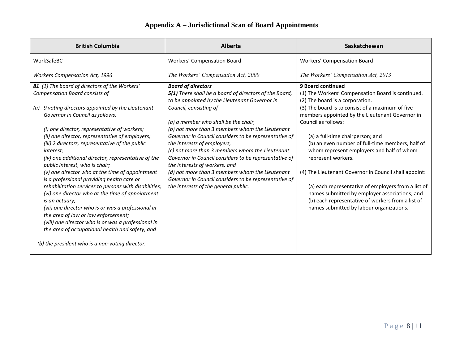| <b>British Columbia</b>                                                                                                                                                                                                                                                                                                                                                          | <b>Alberta</b>                                                                                                                                                                                                                                                                       | Saskatchewan                                                                                                                                                                                                                                                   |
|----------------------------------------------------------------------------------------------------------------------------------------------------------------------------------------------------------------------------------------------------------------------------------------------------------------------------------------------------------------------------------|--------------------------------------------------------------------------------------------------------------------------------------------------------------------------------------------------------------------------------------------------------------------------------------|----------------------------------------------------------------------------------------------------------------------------------------------------------------------------------------------------------------------------------------------------------------|
| WorkSafeBC                                                                                                                                                                                                                                                                                                                                                                       | Workers' Compensation Board                                                                                                                                                                                                                                                          | Workers' Compensation Board                                                                                                                                                                                                                                    |
| <b>Workers Compensation Act, 1996</b>                                                                                                                                                                                                                                                                                                                                            | The Workers' Compensation Act, 2000                                                                                                                                                                                                                                                  | The Workers' Compensation Act, 2013                                                                                                                                                                                                                            |
| 81 (1) The board of directors of the Workers'<br><b>Compensation Board consists of</b>                                                                                                                                                                                                                                                                                           | <b>Board of directors</b><br>5(1) There shall be a board of directors of the Board,<br>to be appointed by the Lieutenant Governor in                                                                                                                                                 | 9 Board continued<br>(1) The Workers' Compensation Board is continued.<br>(2) The board is a corporation.                                                                                                                                                      |
| 9 voting directors appointed by the Lieutenant<br>(a)<br>Governor in Council as follows:                                                                                                                                                                                                                                                                                         | Council, consisting of<br>(a) a member who shall be the chair,                                                                                                                                                                                                                       | (3) The board is to consist of a maximum of five<br>members appointed by the Lieutenant Governor in<br>Council as follows:                                                                                                                                     |
| (i) one director, representative of workers;<br>(ii) one director, representative of employers;<br>(iii) 2 directors, representative of the public<br><i>interest;</i><br>(iv) one additional director, representative of the<br>public interest, who is chair;                                                                                                                  | (b) not more than 3 members whom the Lieutenant<br>Governor in Council considers to be representative of<br>the interests of employers,<br>(c) not more than 3 members whom the Lieutenant<br>Governor in Council considers to be representative of<br>the interests of workers, and | (a) a full-time chairperson; and<br>(b) an even number of full-time members, half of<br>whom represent employers and half of whom<br>represent workers.                                                                                                        |
| (v) one director who at the time of appointment<br>is a professional providing health care or<br>rehabilitation services to persons with disabilities;<br>(vi) one director who at the time of appointment<br>is an actuary;<br>(vii) one director who is or was a professional in<br>the area of law or law enforcement;<br>(viii) one director who is or was a professional in | (d) not more than 3 members whom the Lieutenant<br>Governor in Council considers to be representative of<br>the interests of the general public.                                                                                                                                     | (4) The Lieutenant Governor in Council shall appoint:<br>(a) each representative of employers from a list of<br>names submitted by employer associations; and<br>(b) each representative of workers from a list of<br>names submitted by labour organizations. |
| the area of occupational health and safety, and<br>(b) the president who is a non-voting director.                                                                                                                                                                                                                                                                               |                                                                                                                                                                                                                                                                                      |                                                                                                                                                                                                                                                                |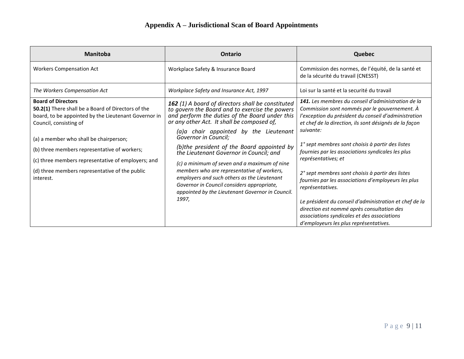| <b>Manitoba</b>                                                                                                                                                                                                                                                                                                                                                                  | Ontario                                                                                                                                                                                                                                                                                                                                                                                                                                                                                                                                                                                                                | <b>Quebec</b>                                                                                                                                                                                                                                                                                                                                                                                                                                                                                                                                                                                                                                            |
|----------------------------------------------------------------------------------------------------------------------------------------------------------------------------------------------------------------------------------------------------------------------------------------------------------------------------------------------------------------------------------|------------------------------------------------------------------------------------------------------------------------------------------------------------------------------------------------------------------------------------------------------------------------------------------------------------------------------------------------------------------------------------------------------------------------------------------------------------------------------------------------------------------------------------------------------------------------------------------------------------------------|----------------------------------------------------------------------------------------------------------------------------------------------------------------------------------------------------------------------------------------------------------------------------------------------------------------------------------------------------------------------------------------------------------------------------------------------------------------------------------------------------------------------------------------------------------------------------------------------------------------------------------------------------------|
| <b>Workers Compensation Act</b>                                                                                                                                                                                                                                                                                                                                                  | Workplace Safety & Insurance Board                                                                                                                                                                                                                                                                                                                                                                                                                                                                                                                                                                                     | Commission des normes, de l'équité, de la santé et<br>de la sécurité du travail (CNESST)                                                                                                                                                                                                                                                                                                                                                                                                                                                                                                                                                                 |
| The Workers Compensation Act                                                                                                                                                                                                                                                                                                                                                     | Workplace Safety and Insurance Act, 1997                                                                                                                                                                                                                                                                                                                                                                                                                                                                                                                                                                               | Loi sur la santé et la securité du travail                                                                                                                                                                                                                                                                                                                                                                                                                                                                                                                                                                                                               |
| <b>Board of Directors</b><br>50.2(1) There shall be a Board of Directors of the<br>board, to be appointed by the Lieutenant Governor in<br>Council, consisting of<br>(a) a member who shall be chairperson;<br>(b) three members representative of workers;<br>(c) three members representative of employers; and<br>(d) three members representative of the public<br>interest. | 162 (1) A board of directors shall be constituted<br>to govern the Board and to exercise the powers<br>and perform the duties of the Board under this<br>or any other Act. It shall be composed of,<br>(a)a chair appointed by the Lieutenant<br>Governor in Council;<br>(b)the president of the Board appointed by<br>the Lieutenant Governor in Council; and<br>(c) a minimum of seven and a maximum of nine<br>members who are representative of workers,<br>employers and such others as the Lieutenant<br>Governor in Council considers appropriate,<br>appointed by the Lieutenant Governor in Council.<br>1997, | 141. Les membres du conseil d'administration de la<br>Commission sont nommés par le gouvernement. À<br>l'exception du président du conseil d'administration<br>et chef de la direction, ils sont désignés de la façon<br>suivante:<br>1° sept membres sont choisis à partir des listes<br>fournies par les associations syndicales les plus<br>représentatives; et<br>2° sept membres sont choisis à partir des listes<br>fournies par les associations d'employeurs les plus<br>représentatives.<br>Le président du conseil d'administration et chef de la<br>direction est nommé après consultation des<br>associations syndicales et des associations |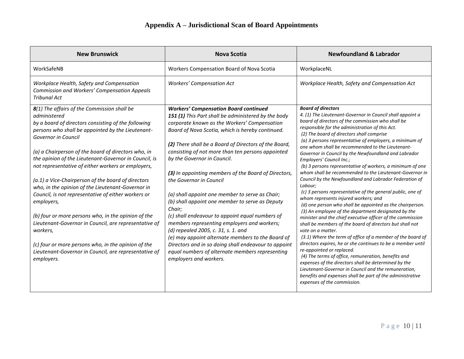| <b>New Brunswick</b>                                                                                                                                                                                                                                                                                                                                                                                                                                                                                                                                                                                                                                                                                                                                                                                           | Nova Scotia                                                                                                                                                                                                                                                                                                                                                                                                                                                                                                                                                                                                                                                                                                                                                                                                                                                                                | <b>Newfoundland &amp; Labrador</b>                                                                                                                                                                                                                                                                                                                                                                                                                                                                                                                                                                                                                                                                                                                                                                                                                                                                                                                                                                                                                                                                                                                                                                                                                                                                                                                                                                                                                |
|----------------------------------------------------------------------------------------------------------------------------------------------------------------------------------------------------------------------------------------------------------------------------------------------------------------------------------------------------------------------------------------------------------------------------------------------------------------------------------------------------------------------------------------------------------------------------------------------------------------------------------------------------------------------------------------------------------------------------------------------------------------------------------------------------------------|--------------------------------------------------------------------------------------------------------------------------------------------------------------------------------------------------------------------------------------------------------------------------------------------------------------------------------------------------------------------------------------------------------------------------------------------------------------------------------------------------------------------------------------------------------------------------------------------------------------------------------------------------------------------------------------------------------------------------------------------------------------------------------------------------------------------------------------------------------------------------------------------|---------------------------------------------------------------------------------------------------------------------------------------------------------------------------------------------------------------------------------------------------------------------------------------------------------------------------------------------------------------------------------------------------------------------------------------------------------------------------------------------------------------------------------------------------------------------------------------------------------------------------------------------------------------------------------------------------------------------------------------------------------------------------------------------------------------------------------------------------------------------------------------------------------------------------------------------------------------------------------------------------------------------------------------------------------------------------------------------------------------------------------------------------------------------------------------------------------------------------------------------------------------------------------------------------------------------------------------------------------------------------------------------------------------------------------------------------|
| WorkSafeNB                                                                                                                                                                                                                                                                                                                                                                                                                                                                                                                                                                                                                                                                                                                                                                                                     | Workers Compensation Board of Nova Scotia                                                                                                                                                                                                                                                                                                                                                                                                                                                                                                                                                                                                                                                                                                                                                                                                                                                  | WorkplaceNL                                                                                                                                                                                                                                                                                                                                                                                                                                                                                                                                                                                                                                                                                                                                                                                                                                                                                                                                                                                                                                                                                                                                                                                                                                                                                                                                                                                                                                       |
| Workplace Health, Safety and Compensation<br>Commission and Workers' Compensation Appeals<br><b>Tribunal Act</b>                                                                                                                                                                                                                                                                                                                                                                                                                                                                                                                                                                                                                                                                                               | <b>Workers' Compensation Act</b>                                                                                                                                                                                                                                                                                                                                                                                                                                                                                                                                                                                                                                                                                                                                                                                                                                                           | Workplace Health, Safety and Compensation Act                                                                                                                                                                                                                                                                                                                                                                                                                                                                                                                                                                                                                                                                                                                                                                                                                                                                                                                                                                                                                                                                                                                                                                                                                                                                                                                                                                                                     |
| 8(1) The affairs of the Commission shall be<br>administered<br>by a board of directors consisting of the following<br>persons who shall be appointed by the Lieutenant-<br>Governor in Council<br>(a) a Chairperson of the board of directors who, in<br>the opinion of the Lieutenant-Governor in Council, is<br>not representative of either workers or employers,<br>(a.1) a Vice-Chairperson of the board of directors<br>who, in the opinion of the Lieutenant-Governor in<br>Council, is not representative of either workers or<br>employers,<br>(b) four or more persons who, in the opinion of the<br>Lieutenant-Governor in Council, are representative of<br>workers,<br>(c) four or more persons who, in the opinion of the<br>Lieutenant-Governor in Council, are representative of<br>employers. | <b>Workers' Compensation Board continued</b><br>151 (1) This Part shall be administered by the body<br>corporate known as the Workers' Compensation<br>Board of Nova Scotia, which is hereby continued.<br>(2) There shall be a Board of Directors of the Board,<br>consisting of not more than ten persons appointed<br>by the Governor in Council.<br>(3) In appointing members of the Board of Directors,<br>the Governor in Council<br>(a) shall appoint one member to serve as Chair;<br>(b) shall appoint one member to serve as Deputy<br>Chair:<br>(c) shall endeavour to appoint equal numbers of<br>members representing employers and workers;<br>(d) repealed 2005, c. 31, s. 1. and<br>(e) may appoint alternate members to the Board of<br>Directors and in so doing shall endeavour to appoint<br>equal numbers of alternate members representing<br>employers and workers. | <b>Board of directors</b><br>4. (1) The Lieutenant-Governor in Council shall appoint a<br>board of directors of the commission who shall be<br>responsible for the administration of this Act.<br>(2) The board of directors shall comprise<br>(a) 3 persons representative of employers, a minimum of<br>one whom shall be recommended to the Lieutenant-<br>Governor in Council by the Newfoundland and Labrador<br>Employers' Council Inc.;<br>(b) 3 persons representative of workers, a minimum of one<br>whom shall be recommended to the Lieutenant-Governor in<br>Council by the Newfoundland and Labrador Federation of<br>Labour;<br>(c) 3 persons representative of the general public, one of<br>whom represents injured workers; and<br>(d) one person who shall be appointed as the chairperson.<br>(3) An employee of the department designated by the<br>minister and the chief executive officer of the commission<br>shall be members of the board of directors but shall not<br>vote on a matter.<br>(3.1) Where the term of office of a member of the board of<br>directors expires, he or she continues to be a member until<br>re-appointed or replaced.<br>(4) The terms of office, remuneration, benefits and<br>expenses of the directors shall be determined by the<br>Lieutenant-Governor in Council and the remuneration,<br>benefits and expenses shall be part of the administrative<br>expenses of the commission. |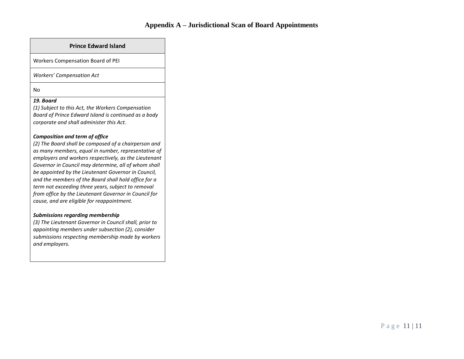#### **Prince Edward Island**

Workers Compensation Board of PEI

*Workers' Compensation Act*

#### No

#### *19. Board*

*(1) Subject to this Act, the Workers Compensation Board of Prince Edward Island is continued as a body corporate and shall administer this Act.* 

#### *Composition and term of office*

*(2) The Board shall be composed of a chairperson and as many members, equal in number, representative of employers and workers respectively, as the Lieutenant Governor in Council may determine, all of whom shall be appointed by the Lieutenant Governor in Council, and the members of the Board shall hold office for a term not exceeding three years, subject to removal from office by the Lieutenant Governor in Council for cause, and are eligible for reappointment.* 

#### *Submissions regarding membership*

*(3) The Lieutenant Governor in Council shall, prior to appointing members under subsection (2), consider submissions respecting membership made by workers and employers.*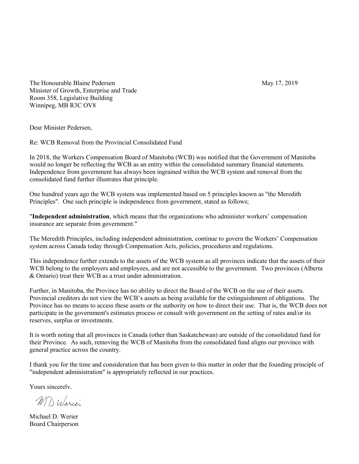<span id="page-12-0"></span>The Honourable Blaine Pedersen May 17, 2019 Minister of Growth, Enterprise and Trade Room 358, Legislative Building Winnipeg, MB R3C OV8

Dear Minister Pedersen,

Re: WCB Removal from the Provincial Consolidated Fund

In 2018, the Workers Compensation Board of Manitoba (WCB) was notified that the Government of Manitoba would no longer be reflecting the WCB as an entity within the consolidated summary financial statements. Independence from government has always been ingrained within the WCB system and removal from the consolidated fund further illustrates that principle.

One hundred years ago the WCB system was implemented based on 5 principles known as "the Meredith Principles". One such principle is independence from government, stated as follows;

"**Independent administration**, which means that the organizations who administer workers' compensation insurance are separate from government."

The Meredith Principles, including independent administration, continue to govern the Workers' Compensation system across Canada today through Compensation Acts, policies, procedures and regulations.

This independence further extends to the assets of the WCB system as all provinces indicate that the assets of their WCB belong to the employers and employees, and are not accessible to the government. Two provinces (Alberta & Ontario) treat their WCB as a trust under administration.

Further, in Manitoba, the Province has no ability to direct the Board of the WCB on the use of their assets. Provincial creditors do not view the WCB's assets as being available for the extinguishment of obligations. The Province has no means to access these assets or the authority on how to direct their use. That is, the WCB does not participate in the government's estimates process or consult with government on the setting of rates and/or its reserves, surplus or investments.

It is worth noting that all provinces in Canada (other than Saskatchewan) are outside of the consolidated fund for their Province. As such, removing the WCB of Manitoba from the consolidated fund aligns our province with general practice across the country.

I thank you for the time and consideration that has been given to this matter in order that the founding principle of "independent administration" is appropriately reflected in our practices.

Yours sincerely,

MD Werei

Michael D. Werier Board Chairperson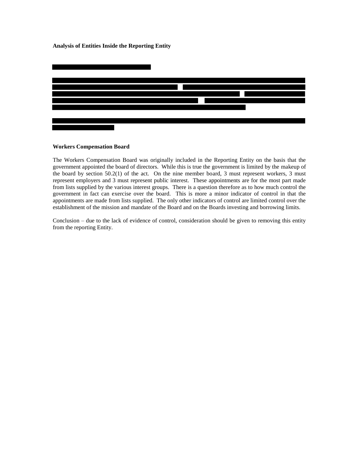#### <span id="page-13-0"></span>**Analysis of Entities Inside the Reporting Entity**



#### **Workers Compensation Board**

The Workers Compensation Board was originally included in the Reporting Entity on the basis that the government appointed the board of directors. While this is true the government is limited by the makeup of the board by section 50.2(1) of the act. On the nine member board, 3 must represent workers, 3 must represent employers and 3 must represent public interest. These appointments are for the most part made from lists supplied by the various interest groups. There is a question therefore as to how much control the government in fact can exercise over the board. This is more a minor indicator of control in that the appointments are made from lists supplied. The only other indicators of control are limited control over the establishment of the mission and mandate of the Board and on the Boards investing and borrowing limits.

Conclusion – due to the lack of evidence of control, consideration should be given to removing this entity from the reporting Entity.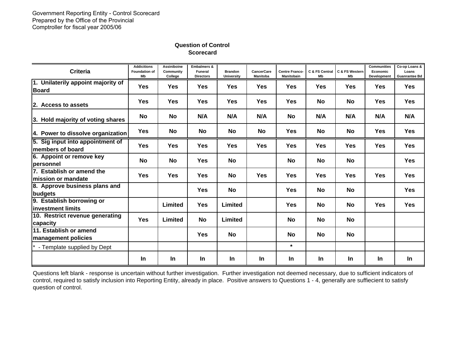<span id="page-14-0"></span>

| <b>Criteria</b>                                      | <b>Addicitions</b><br><b>Foundation of</b><br>Mb | Assiniboine<br>Community<br>College | <b>Embalmers &amp;</b><br><b>Funeral</b><br><b>Directors</b> | <b>Brandon</b><br><b>University</b> | <b>CancerCare</b><br><b>Manitoba</b> | <b>Centre Franco-</b><br>Manitobain | C & FS Central<br>Mb | C & FS Western<br>Mb | <b>Communities</b><br>Economic<br>Development | Co-op Loans &<br>Loans<br><b>Guanrantee Bd</b> |
|------------------------------------------------------|--------------------------------------------------|-------------------------------------|--------------------------------------------------------------|-------------------------------------|--------------------------------------|-------------------------------------|----------------------|----------------------|-----------------------------------------------|------------------------------------------------|
| 1. Unilaterily appoint majority of<br><b>Board</b>   | <b>Yes</b>                                       | <b>Yes</b>                          | <b>Yes</b>                                                   | <b>Yes</b>                          | <b>Yes</b>                           | Yes                                 | <b>Yes</b>           | <b>Yes</b>           | <b>Yes</b>                                    | <b>Yes</b>                                     |
| 2. Access to assets                                  | <b>Yes</b>                                       | <b>Yes</b>                          | <b>Yes</b>                                                   | Yes                                 | <b>Yes</b>                           | Yes                                 | No                   | <b>No</b>            | <b>Yes</b>                                    | <b>Yes</b>                                     |
| 3. Hold majority of voting shares                    | <b>No</b>                                        | No                                  | N/A                                                          | N/A                                 | N/A                                  | <b>No</b>                           | N/A                  | N/A                  | N/A                                           | N/A                                            |
| 4. Power to dissolve organization                    | <b>Yes</b>                                       | No                                  | <b>No</b>                                                    | No                                  | No                                   | Yes                                 | No                   | <b>No</b>            | <b>Yes</b>                                    | <b>Yes</b>                                     |
| 5. Sig input into appointment of<br>members of board | <b>Yes</b>                                       | <b>Yes</b>                          | <b>Yes</b>                                                   | <b>Yes</b>                          | <b>Yes</b>                           | Yes                                 | <b>Yes</b>           | <b>Yes</b>           | <b>Yes</b>                                    | <b>Yes</b>                                     |
| 6. Appoint or remove key<br><b>personnel</b>         | <b>No</b>                                        | No                                  | <b>Yes</b>                                                   | No                                  |                                      | No                                  | No                   | No                   |                                               | <b>Yes</b>                                     |
| 7. Establish or amend the<br>lmission or mandate     | <b>Yes</b>                                       | <b>Yes</b>                          | <b>Yes</b>                                                   | No                                  | <b>Yes</b>                           | Yes                                 | <b>Yes</b>           | <b>Yes</b>           | <b>Yes</b>                                    | <b>Yes</b>                                     |
| 8. Approve business plans and<br>budgets             |                                                  |                                     | <b>Yes</b>                                                   | No                                  |                                      | Yes                                 | No                   | <b>No</b>            |                                               | <b>Yes</b>                                     |
| 9. Establish borrowing or<br>linvestment limits      |                                                  | Limited                             | <b>Yes</b>                                                   | Limited                             |                                      | <b>Yes</b>                          | <b>No</b>            | <b>No</b>            | <b>Yes</b>                                    | <b>Yes</b>                                     |
| 10. Restrict revenue generating<br>capacity          | <b>Yes</b>                                       | <b>Limited</b>                      | <b>No</b>                                                    | Limited                             |                                      | No                                  | No                   | No                   |                                               |                                                |
| 11. Establish or amend<br><b>management policies</b> |                                                  |                                     | <b>Yes</b>                                                   | No                                  |                                      | No                                  | No                   | <b>No</b>            |                                               |                                                |
| * - Template supplied by Dept                        |                                                  |                                     |                                                              |                                     |                                      | $\star$                             |                      |                      |                                               |                                                |
|                                                      | <b>In</b>                                        | <b>In</b>                           | <b>In</b>                                                    | <b>In</b>                           | <b>In</b>                            | <b>In</b>                           | <b>In</b>            | <b>In</b>            | <b>In</b>                                     | <b>In</b>                                      |

Questions left blank - response is uncertain without further investigation. Further investigation not deemed necessary, due to sufficient indicators of control, required to satisfy inclusion into Reporting Entity, already in place. Positive answers to Questions 1 - 4, generally are suffiecient to satisfy question of control.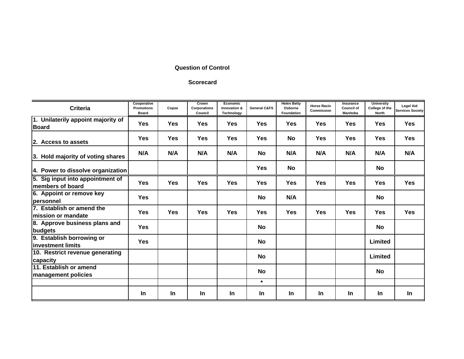## **Question of Control**

#### **Scorecard**

| <b>Criteria</b>                                      | Cooperative<br><b>Promotions</b><br><b>Board</b> | Copse      | Crown<br>Corporations<br>Council | Economic<br>Innovation &<br>Technology | <b>General C&amp;FS</b> | <b>Helen Betty</b><br>Osborne<br>Foundation | <b>Horse Racin</b><br>Commission | Insurance<br><b>Council of</b><br><b>Manitoba</b> | <b>University</b><br>College of the<br><b>North</b> | <b>Legel Aid</b><br><b>Services Society</b> |
|------------------------------------------------------|--------------------------------------------------|------------|----------------------------------|----------------------------------------|-------------------------|---------------------------------------------|----------------------------------|---------------------------------------------------|-----------------------------------------------------|---------------------------------------------|
| 1. Unilaterily appoint majority of<br><b>Board</b>   | <b>Yes</b>                                       | Yes        | <b>Yes</b>                       | <b>Yes</b>                             | Yes                     | Yes                                         | <b>Yes</b>                       | Yes                                               | Yes                                                 | <b>Yes</b>                                  |
| 2. Access to assets                                  | <b>Yes</b>                                       | Yes        | <b>Yes</b>                       | <b>Yes</b>                             | Yes                     | <b>No</b>                                   | <b>Yes</b>                       | <b>Yes</b>                                        | <b>Yes</b>                                          | <b>Yes</b>                                  |
| 3. Hold majority of voting shares                    | N/A                                              | N/A        | N/A                              | N/A                                    | No                      | N/A                                         | N/A                              | N/A                                               | N/A                                                 | N/A                                         |
| 4. Power to dissolve organization                    |                                                  |            |                                  |                                        | <b>Yes</b>              | <b>No</b>                                   |                                  |                                                   | No                                                  |                                             |
| 5. Sig input into appointment of<br>members of board | <b>Yes</b>                                       | <b>Yes</b> | <b>Yes</b>                       | <b>Yes</b>                             | <b>Yes</b>              | <b>Yes</b>                                  | Yes                              | <b>Yes</b>                                        | <b>Yes</b>                                          | <b>Yes</b>                                  |
| 6. Appoint or remove key<br><b>personnel</b>         | <b>Yes</b>                                       |            |                                  |                                        | No                      | N/A                                         |                                  |                                                   | No                                                  |                                             |
| 7. Establish or amend the<br>lmission or mandate     | <b>Yes</b>                                       | Yes        | <b>Yes</b>                       | <b>Yes</b>                             | <b>Yes</b>              | <b>Yes</b>                                  | Yes                              | <b>Yes</b>                                        | <b>Yes</b>                                          | <b>Yes</b>                                  |
| 8. Approve business plans and<br>budgets             | <b>Yes</b>                                       |            |                                  |                                        | <b>No</b>               |                                             |                                  |                                                   | No                                                  |                                             |
| 9. Establish borrowing or<br>linvestment limits      | <b>Yes</b>                                       |            |                                  |                                        | <b>No</b>               |                                             |                                  |                                                   | Limited                                             |                                             |
| 10. Restrict revenue generating<br>capacity          |                                                  |            |                                  |                                        | <b>No</b>               |                                             |                                  |                                                   | Limited                                             |                                             |
| 11. Establish or amend<br><b>management policies</b> |                                                  |            |                                  |                                        | <b>No</b>               |                                             |                                  |                                                   | No                                                  |                                             |
|                                                      |                                                  |            |                                  |                                        | $\star$                 |                                             |                                  |                                                   |                                                     |                                             |
|                                                      | In                                               | <b>In</b>  | <b>In</b>                        | In.                                    | In                      | In.                                         | <b>In</b>                        | <b>In</b>                                         | <b>In</b>                                           | In                                          |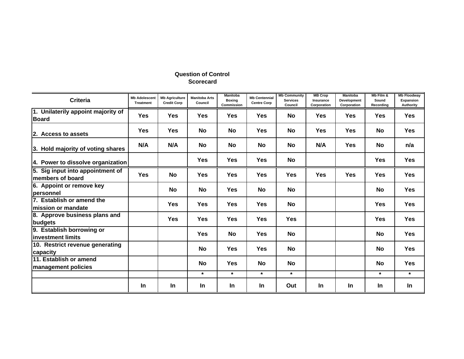| <b>Criteria</b>                                      | <b>Mb Adolescent</b><br><b>Treatment</b> | <b>Mb Agriculture</b><br><b>Credit Corp</b> | <b>Manitoba Arts</b><br>Council | <b>Manitoba</b><br><b>Boxing</b><br>Commission | <b>Mb Centennial</b><br><b>Centre Corp</b> | <b>Mb Community</b><br><b>Services</b><br>Council | <b>MB Crop</b><br>Insurance<br>Corporation | <b>Manitoba</b><br><b>Development</b><br>Corporation | Mb Film &<br>Sound<br>Recording | <b>Mb Floodway</b><br>Expansion<br>Authority |
|------------------------------------------------------|------------------------------------------|---------------------------------------------|---------------------------------|------------------------------------------------|--------------------------------------------|---------------------------------------------------|--------------------------------------------|------------------------------------------------------|---------------------------------|----------------------------------------------|
| 1. Unilaterily appoint majority of<br><b>Board</b>   | <b>Yes</b>                               | <b>Yes</b>                                  | Yes                             | Yes                                            | Yes                                        | <b>No</b>                                         | Yes                                        | Yes                                                  | Yes                             | <b>Yes</b>                                   |
| 2. Access to assets                                  | <b>Yes</b>                               | <b>Yes</b>                                  | No                              | No                                             | Yes                                        | No                                                | <b>Yes</b>                                 | <b>Yes</b>                                           | No                              | <b>Yes</b>                                   |
| 3. Hold majority of voting shares                    | N/A                                      | N/A                                         | <b>No</b>                       | <b>No</b>                                      | No                                         | No                                                | N/A                                        | <b>Yes</b>                                           | No                              | n/a                                          |
| 4. Power to dissolve organization                    |                                          |                                             | Yes                             | <b>Yes</b>                                     | <b>Yes</b>                                 | <b>No</b>                                         |                                            |                                                      | Yes                             | <b>Yes</b>                                   |
| 5. Sig input into appointment of<br>members of board | <b>Yes</b>                               | <b>No</b>                                   | Yes                             | <b>Yes</b>                                     | Yes                                        | Yes                                               | <b>Yes</b>                                 | <b>Yes</b>                                           | <b>Yes</b>                      | <b>Yes</b>                                   |
| 6. Appoint or remove key<br><b>personnel</b>         |                                          | <b>No</b>                                   | <b>No</b>                       | <b>Yes</b>                                     | <b>No</b>                                  | <b>No</b>                                         |                                            |                                                      | <b>No</b>                       | <b>Yes</b>                                   |
| 7. Establish or amend the<br>lmission or mandate     |                                          | <b>Yes</b>                                  | Yes                             | <b>Yes</b>                                     | <b>Yes</b>                                 | No                                                |                                            |                                                      | <b>Yes</b>                      | <b>Yes</b>                                   |
| 8. Approve business plans and<br>budgets             |                                          | <b>Yes</b>                                  | Yes                             | <b>Yes</b>                                     | Yes                                        | <b>Yes</b>                                        |                                            |                                                      | <b>Yes</b>                      | <b>Yes</b>                                   |
| 9. Establish borrowing or<br>linvestment limits      |                                          |                                             | Yes                             | <b>No</b>                                      | Yes                                        | <b>No</b>                                         |                                            |                                                      | <b>No</b>                       | <b>Yes</b>                                   |
| 10. Restrict revenue generating<br>capacity          |                                          |                                             | <b>No</b>                       | <b>Yes</b>                                     | <b>Yes</b>                                 | <b>No</b>                                         |                                            |                                                      | <b>No</b>                       | <b>Yes</b>                                   |
| 11. Establish or amend<br>management policies        |                                          |                                             | <b>No</b>                       | <b>Yes</b>                                     | No                                         | <b>No</b>                                         |                                            |                                                      | <b>No</b>                       | <b>Yes</b>                                   |
|                                                      |                                          |                                             | $\star$                         | $\star$                                        | $\star$                                    | $\star$                                           |                                            |                                                      | $\star$                         | $\star$                                      |
|                                                      | In                                       | In                                          | In                              | In.                                            | In                                         | Out                                               | <b>In</b>                                  | <b>In</b>                                            | In.                             | In                                           |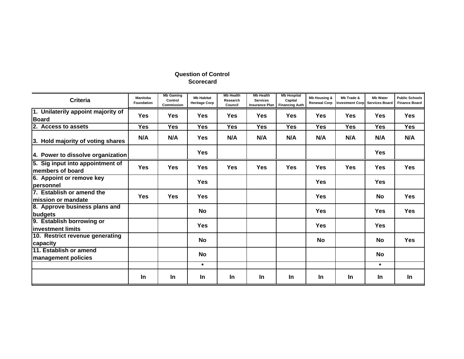| <b>Criteria</b>                                       | Manitoba<br><b>Foundation</b> | <b>Mb Gaming</b><br>Control<br>Commission | <b>Mb Habitat</b><br><b>Heritage Corp</b> | <b>Mb Health</b><br>Research<br>Council | <b>Mb Health</b><br><b>Services</b> | <b>Mb Hospital</b><br>Capital<br>Insurance Plan Financing Auth | <b>Mb Housing &amp;</b><br><b>Renewal Corp</b> | Mb Trade &<br><b>Investment Corp</b> | <b>Mb Water</b><br><b>Services Board</b> | <b>Public Schools</b><br><b>Finance Board</b> |
|-------------------------------------------------------|-------------------------------|-------------------------------------------|-------------------------------------------|-----------------------------------------|-------------------------------------|----------------------------------------------------------------|------------------------------------------------|--------------------------------------|------------------------------------------|-----------------------------------------------|
| 1. Unilaterily appoint majority of<br><b>Board</b>    | <b>Yes</b>                    | <b>Yes</b>                                | Yes                                       | <b>Yes</b>                              | <b>Yes</b>                          | Yes                                                            | Yes                                            | <b>Yes</b>                           | <b>Yes</b>                               | <b>Yes</b>                                    |
| 2. Access to assets                                   | Yes                           | Yes                                       | Yes                                       | Yes                                     | Yes                                 | Yes                                                            | Yes                                            | Yes                                  | <b>Yes</b>                               | <b>Yes</b>                                    |
| 3. Hold majority of voting shares                     | N/A                           | N/A                                       | Yes                                       | N/A                                     | N/A                                 | N/A                                                            | N/A                                            | N/A                                  | N/A                                      | N/A                                           |
| 4. Power to dissolve organization                     |                               |                                           | Yes                                       |                                         |                                     |                                                                |                                                |                                      | <b>Yes</b>                               |                                               |
| 5. Sig input into appointment of<br>lmembers of board | <b>Yes</b>                    | <b>Yes</b>                                | Yes                                       | <b>Yes</b>                              | <b>Yes</b>                          | <b>Yes</b>                                                     | <b>Yes</b>                                     | <b>Yes</b>                           | <b>Yes</b>                               | <b>Yes</b>                                    |
| 6. Appoint or remove key<br>lpersonnel                |                               |                                           | <b>Yes</b>                                |                                         |                                     |                                                                | <b>Yes</b>                                     |                                      | <b>Yes</b>                               |                                               |
| 7. Establish or amend the<br>lmission or mandate      | <b>Yes</b>                    | <b>Yes</b>                                | <b>Yes</b>                                |                                         |                                     |                                                                | <b>Yes</b>                                     |                                      | <b>No</b>                                | <b>Yes</b>                                    |
| 8. Approve business plans and<br>budgets              |                               |                                           | <b>No</b>                                 |                                         |                                     |                                                                | <b>Yes</b>                                     |                                      | <b>Yes</b>                               | <b>Yes</b>                                    |
| 9. Establish borrowing or<br>linvestment limits       |                               |                                           | Yes                                       |                                         |                                     |                                                                | <b>Yes</b>                                     |                                      | <b>Yes</b>                               |                                               |
| 10. Restrict revenue generating<br>capacity           |                               |                                           | No                                        |                                         |                                     |                                                                | No                                             |                                      | <b>No</b>                                | <b>Yes</b>                                    |
| 11. Establish or amend<br><b>management policies</b>  |                               |                                           | <b>No</b>                                 |                                         |                                     |                                                                |                                                |                                      | <b>No</b>                                |                                               |
|                                                       |                               |                                           | $\star$                                   |                                         |                                     |                                                                |                                                |                                      | $\star$                                  |                                               |
|                                                       | In.                           | <b>In</b>                                 | <b>In</b>                                 | In.                                     | In                                  | <b>In</b>                                                      | <b>In</b>                                      | <b>In</b>                            | <u>In</u>                                | <b>In</b>                                     |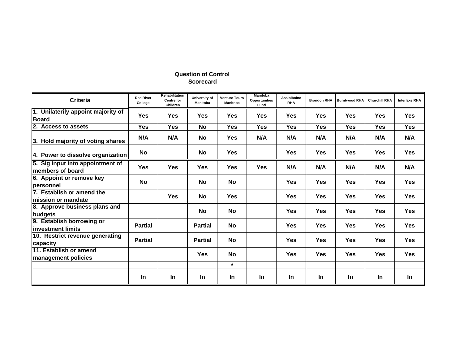| <b>Criteria</b>                                       | <b>Red River</b><br>College | Rehabilitation<br><b>Centre for</b><br><b>Children</b> | University of<br><b>Manitoba</b> | <b>Venture Tours</b><br><b>Manitoba</b> | <b>Manitoba</b><br>Opportunities<br>Fund | <b>Assiniboine</b><br><b>RHA</b> | <b>Brandon RHA</b> | <b>Burntwood RHA</b> | <b>Churchill RHA</b> | <b>Interlake RHA</b> |
|-------------------------------------------------------|-----------------------------|--------------------------------------------------------|----------------------------------|-----------------------------------------|------------------------------------------|----------------------------------|--------------------|----------------------|----------------------|----------------------|
| 1. Unilaterily appoint majority of<br><b>Board</b>    | <b>Yes</b>                  | <b>Yes</b>                                             | <b>Yes</b>                       | <b>Yes</b>                              | <b>Yes</b>                               | <b>Yes</b>                       | <b>Yes</b>         | <b>Yes</b>           | <b>Yes</b>           | <b>Yes</b>           |
| 2. Access to assets                                   | Yes                         | <b>Yes</b>                                             | No                               | Yes                                     | <b>Yes</b>                               | <b>Yes</b>                       | <b>Yes</b>         | Yes                  | <b>Yes</b>           | <b>Yes</b>           |
| 3. Hold majority of voting shares                     | N/A                         | N/A                                                    | <b>No</b>                        | <b>Yes</b>                              | N/A                                      | N/A                              | N/A                | N/A                  | N/A                  | N/A                  |
| 4. Power to dissolve organization                     | <b>No</b>                   |                                                        | <b>No</b>                        | Yes                                     |                                          | Yes                              | <b>Yes</b>         | <b>Yes</b>           | <b>Yes</b>           | <b>Yes</b>           |
| 5. Sig input into appointment of<br>lmembers of board | <b>Yes</b>                  | <b>Yes</b>                                             | <b>Yes</b>                       | <b>Yes</b>                              | <b>Yes</b>                               | N/A                              | N/A                | N/A                  | N/A                  | N/A                  |
| 6. Appoint or remove key<br><b>personnel</b>          | <b>No</b>                   |                                                        | <b>No</b>                        | <b>No</b>                               |                                          | <b>Yes</b>                       | <b>Yes</b>         | <b>Yes</b>           | <b>Yes</b>           | <b>Yes</b>           |
| 7. Establish or amend the<br>lmission or mandate      |                             | <b>Yes</b>                                             | <b>No</b>                        | <b>Yes</b>                              |                                          | <b>Yes</b>                       | <b>Yes</b>         | <b>Yes</b>           | <b>Yes</b>           | <b>Yes</b>           |
| 8. Approve business plans and<br>budgets              |                             |                                                        | No                               | No                                      |                                          | Yes                              | Yes                | <b>Yes</b>           | Yes                  | <b>Yes</b>           |
| 9. Establish borrowing or<br>linvestment limits       | <b>Partial</b>              |                                                        | <b>Partial</b>                   | <b>No</b>                               |                                          | Yes                              | <b>Yes</b>         | <b>Yes</b>           | <b>Yes</b>           | <b>Yes</b>           |
| 10. Restrict revenue generating<br>capacity           | <b>Partial</b>              |                                                        | <b>Partial</b>                   | No                                      |                                          | <b>Yes</b>                       | <b>Yes</b>         | <b>Yes</b>           | <b>Yes</b>           | <b>Yes</b>           |
| 11. Establish or amend<br>management policies         |                             |                                                        | <b>Yes</b>                       | <b>No</b>                               |                                          | <b>Yes</b>                       | <b>Yes</b>         | <b>Yes</b>           | <b>Yes</b>           | <b>Yes</b>           |
|                                                       |                             |                                                        |                                  | $\star$                                 |                                          |                                  |                    |                      |                      |                      |
|                                                       | <b>In</b>                   | <b>In</b>                                              | <b>In</b>                        | <u>In</u>                               | In                                       | In.                              | <b>In</b>          | <b>In</b>            | In.                  | <b>In</b>            |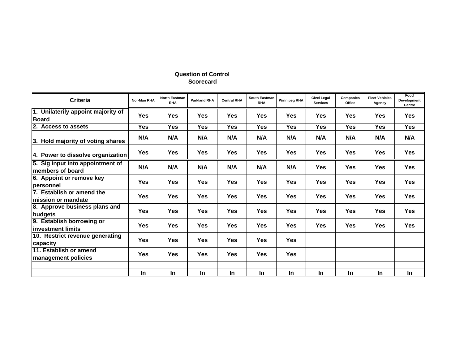| <b>Criteria</b>                                       | Nor-Man RHA | <b>North Eastman</b><br><b>RHA</b> | <b>Parkland RHA</b> | <b>Central RHA</b> | South Eastman<br><b>RHA</b> | <b>Winnipeg RHA</b> | <b>Civel Legal</b><br><b>Services</b> | Companies<br>Office | <b>Fleet Vehicles</b><br>Agency | Food<br>Development<br>Centre |
|-------------------------------------------------------|-------------|------------------------------------|---------------------|--------------------|-----------------------------|---------------------|---------------------------------------|---------------------|---------------------------------|-------------------------------|
| 1. Unilaterily appoint majority of<br><b>Board</b>    | <b>Yes</b>  | Yes                                | <b>Yes</b>          | <b>Yes</b>         | <b>Yes</b>                  | Yes                 | <b>Yes</b>                            | <b>Yes</b>          | <b>Yes</b>                      | <b>Yes</b>                    |
| 2. Access to assets                                   | <b>Yes</b>  | <b>Yes</b>                         | <b>Yes</b>          | Yes                | Yes                         | Yes                 | Yes                                   | <b>Yes</b>          | Yes                             | <b>Yes</b>                    |
| 3. Hold majority of voting shares                     | N/A         | N/A                                | N/A                 | N/A                | N/A                         | N/A                 | N/A                                   | N/A                 | N/A                             | N/A                           |
| 4. Power to dissolve organization                     | <b>Yes</b>  | <b>Yes</b>                         | <b>Yes</b>          | <b>Yes</b>         | <b>Yes</b>                  | Yes                 | Yes                                   | <b>Yes</b>          | <b>Yes</b>                      | <b>Yes</b>                    |
| 5. Sig input into appointment of<br>members of board  | N/A         | N/A                                | N/A                 | N/A                | N/A                         | N/A                 | Yes                                   | <b>Yes</b>          | Yes                             | <b>Yes</b>                    |
| 6. Appoint or remove key<br>lpersonnel                | <b>Yes</b>  | <b>Yes</b>                         | <b>Yes</b>          | Yes                | <b>Yes</b>                  | Yes                 | Yes                                   | <b>Yes</b>          | Yes                             | <b>Yes</b>                    |
| 7. Establish or amend the<br>lmission or mandate      | <b>Yes</b>  | <b>Yes</b>                         | <b>Yes</b>          | <b>Yes</b>         | <b>Yes</b>                  | Yes                 | <b>Yes</b>                            | <b>Yes</b>          | <b>Yes</b>                      | <b>Yes</b>                    |
| 8. Approve business plans and<br>budgets              | <b>Yes</b>  | <b>Yes</b>                         | <b>Yes</b>          | <b>Yes</b>         | <b>Yes</b>                  | Yes                 | <b>Yes</b>                            | <b>Yes</b>          | <b>Yes</b>                      | <b>Yes</b>                    |
| 9. Establish borrowing or<br>linvestment limits       | <b>Yes</b>  | Yes                                | <b>Yes</b>          | <b>Yes</b>         | <b>Yes</b>                  | Yes                 | <b>Yes</b>                            | <b>Yes</b>          | <b>Yes</b>                      | <b>Yes</b>                    |
| 10. Restrict revenue generating<br>capacity           | <b>Yes</b>  | Yes                                | <b>Yes</b>          | <b>Yes</b>         | <b>Yes</b>                  | Yes                 |                                       |                     |                                 |                               |
| 11. Establish or amend<br><b>Imanagement policies</b> | <b>Yes</b>  | Yes                                | <b>Yes</b>          | <b>Yes</b>         | <b>Yes</b>                  | Yes                 |                                       |                     |                                 |                               |
|                                                       |             |                                    |                     |                    |                             |                     |                                       |                     |                                 |                               |
|                                                       | In          | In                                 | In                  | In                 | In                          | In                  | In                                    | In                  | In                              | In                            |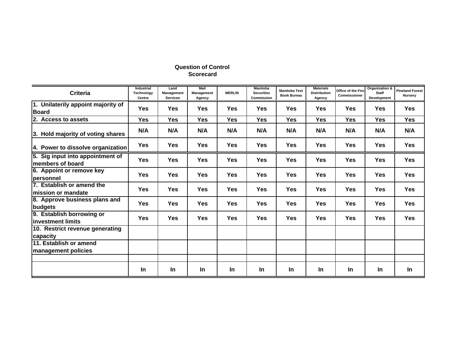| <b>Criteria</b>                                      | <b>Industrial</b><br>Technology<br>Centre | Land<br>Management<br><b>Services</b> | Mail<br><b>Management</b><br>Agency | <b>MERLIN</b> | <b>Manitoba</b><br><b>Securities</b><br>Commission | <b>Manitoba Text</b><br><b>Book Bureau</b> | <b>Materials</b><br><b>Distribution</b><br>Agency | Office of the Fire<br>Commissioner | Organization &<br>Staff<br>Development | <b>Pineland Forest</b><br>Nursery |
|------------------------------------------------------|-------------------------------------------|---------------------------------------|-------------------------------------|---------------|----------------------------------------------------|--------------------------------------------|---------------------------------------------------|------------------------------------|----------------------------------------|-----------------------------------|
| 1. Unilaterily appoint majority of<br><b>Board</b>   | <b>Yes</b>                                | Yes                                   | <b>Yes</b>                          | <b>Yes</b>    | <b>Yes</b>                                         | <b>Yes</b>                                 | Yes                                               | <b>Yes</b>                         | Yes                                    | <b>Yes</b>                        |
| 2. Access to assets                                  | Yes                                       | <b>Yes</b>                            | <b>Yes</b>                          | Yes           | Yes                                                | <b>Yes</b>                                 | Yes                                               | <b>Yes</b>                         | <b>Yes</b>                             | <b>Yes</b>                        |
| 3. Hold majority of voting shares                    | N/A                                       | N/A                                   | N/A                                 | N/A           | N/A                                                | N/A                                        | N/A                                               | N/A                                | N/A                                    | N/A                               |
| 4. Power to dissolve organization                    | <b>Yes</b>                                | <b>Yes</b>                            | <b>Yes</b>                          | <b>Yes</b>    | <b>Yes</b>                                         | <b>Yes</b>                                 | <b>Yes</b>                                        | <b>Yes</b>                         | Yes                                    | <b>Yes</b>                        |
| 5. Sig input into appointment of<br>members of board | Yes                                       | <b>Yes</b>                            | <b>Yes</b>                          | <b>Yes</b>    | Yes                                                | Yes                                        | <b>Yes</b>                                        | Yes                                | Yes                                    | Yes                               |
| 6. Appoint or remove key<br>personnel                | <b>Yes</b>                                | <b>Yes</b>                            | <b>Yes</b>                          | Yes           | <b>Yes</b>                                         | <b>Yes</b>                                 | Yes                                               | <b>Yes</b>                         | <b>Yes</b>                             | <b>Yes</b>                        |
| 7. Establish or amend the<br>lmission or mandate     | Yes                                       | <b>Yes</b>                            | <b>Yes</b>                          | <b>Yes</b>    | <b>Yes</b>                                         | <b>Yes</b>                                 | Yes                                               | <b>Yes</b>                         | <b>Yes</b>                             | <b>Yes</b>                        |
| 8. Approve business plans and<br>budgets             | Yes                                       | Yes                                   | <b>Yes</b>                          | Yes           | <b>Yes</b>                                         | <b>Yes</b>                                 | <b>Yes</b>                                        | <b>Yes</b>                         | Yes                                    | <b>Yes</b>                        |
| 9. Establish borrowing or<br>linvestment limits      | <b>Yes</b>                                | Yes                                   | <b>Yes</b>                          | Yes           | <b>Yes</b>                                         | <b>Yes</b>                                 | <b>Yes</b>                                        | <b>Yes</b>                         | <b>Yes</b>                             | <b>Yes</b>                        |
| 10. Restrict revenue generating<br>capacity          |                                           |                                       |                                     |               |                                                    |                                            |                                                   |                                    |                                        |                                   |
| 11. Establish or amend                               |                                           |                                       |                                     |               |                                                    |                                            |                                                   |                                    |                                        |                                   |
| management policies                                  |                                           |                                       |                                     |               |                                                    |                                            |                                                   |                                    |                                        |                                   |
|                                                      | <b>In</b>                                 | In                                    | <u>In</u>                           | <b>In</b>     | In                                                 | <b>In</b>                                  | <b>In</b>                                         | <b>In</b>                          | In                                     | In.                               |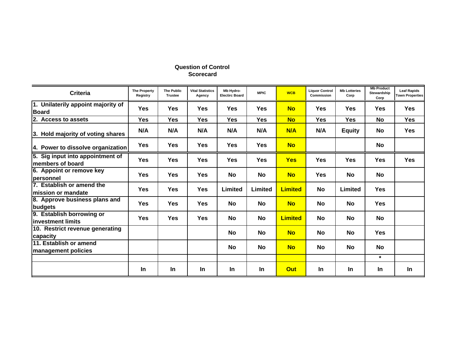| <b>Criteria</b>                                      | <b>The Property</b><br>Registry | <b>The Public</b><br><b>Trustee</b> | <b>Vital Statistics</b><br>Agency | Mb Hydro-<br><b>Electirc Board</b> | <b>MPIC</b> | <b>WCB</b>     | <b>Liquor Control</b><br>Commission | <b>Mb Lotteries</b><br>Corp | <b>Mb Product</b><br>Stewardship<br>Corp | <b>Leaf Rapids</b><br><b>Town Properties</b> |
|------------------------------------------------------|---------------------------------|-------------------------------------|-----------------------------------|------------------------------------|-------------|----------------|-------------------------------------|-----------------------------|------------------------------------------|----------------------------------------------|
| 1. Unilaterily appoint majority of<br><b>Board</b>   | <b>Yes</b>                      | Yes                                 | <b>Yes</b>                        | <b>Yes</b>                         | <b>Yes</b>  | <b>No</b>      | <b>Yes</b>                          | <b>Yes</b>                  | <b>Yes</b>                               | <b>Yes</b>                                   |
| 2. Access to assets                                  | <b>Yes</b>                      | <b>Yes</b>                          | <b>Yes</b>                        | Yes                                | <b>Yes</b>  | <b>No</b>      | <b>Yes</b>                          | <b>Yes</b>                  | <b>No</b>                                | <b>Yes</b>                                   |
| 3. Hold majority of voting shares                    | N/A                             | N/A                                 | N/A                               | N/A                                | N/A         | N/A            | N/A                                 | <b>Equity</b>               | <b>No</b>                                | <b>Yes</b>                                   |
| 4. Power to dissolve organization                    | <b>Yes</b>                      | <b>Yes</b>                          | <b>Yes</b>                        | <b>Yes</b>                         | <b>Yes</b>  | <b>No</b>      |                                     |                             | <b>No</b>                                |                                              |
| 5. Sig input into appointment of<br>members of board | <b>Yes</b>                      | <b>Yes</b>                          | <b>Yes</b>                        | <b>Yes</b>                         | <b>Yes</b>  | <b>Yes</b>     | <b>Yes</b>                          | <b>Yes</b>                  | <b>Yes</b>                               | <b>Yes</b>                                   |
| 6. Appoint or remove key<br><b>personnel</b>         | <b>Yes</b>                      | <b>Yes</b>                          | <b>Yes</b>                        | No                                 | No          | <b>No</b>      | <b>Yes</b>                          | No                          | <b>No</b>                                |                                              |
| 7. Establish or amend the<br>lmission or mandate     | <b>Yes</b>                      | <b>Yes</b>                          | <b>Yes</b>                        | Limited                            | Limited     | <b>Limited</b> | <b>No</b>                           | Limited                     | Yes                                      |                                              |
| 8. Approve business plans and<br>budgets             | Yes                             | <b>Yes</b>                          | <b>Yes</b>                        | No                                 | <b>No</b>   | <b>No</b>      | <b>No</b>                           | No                          | Yes                                      |                                              |
| 9. Establish borrowing or<br>linvestment limits      | <b>Yes</b>                      | <b>Yes</b>                          | <b>Yes</b>                        | No                                 | No          | <b>Limited</b> | <b>No</b>                           | <b>No</b>                   | <b>No</b>                                |                                              |
| 10. Restrict revenue generating<br>capacity          |                                 |                                     |                                   | No                                 | <b>No</b>   | <b>No</b>      | <b>No</b>                           | <b>No</b>                   | Yes                                      |                                              |
| 11. Establish or amend<br>management policies        |                                 |                                     |                                   | <b>No</b>                          | <b>No</b>   | <b>No</b>      | <b>No</b>                           | <b>No</b>                   | <b>No</b>                                |                                              |
|                                                      |                                 |                                     |                                   |                                    |             |                |                                     |                             | $\star$                                  |                                              |
|                                                      | In                              | In                                  | In                                | <b>In</b>                          | In          | Out            | In                                  | In                          | In                                       | In                                           |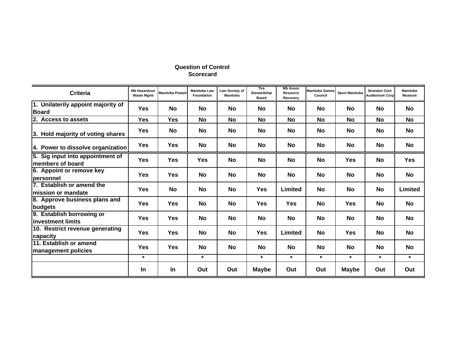| <b>Criteria</b>                                      | <b>Mb Hazardous</b><br><b>Waste Mgmt</b> | Manitoba Potash | <b>Manitoba Law</b><br><b>Foundation</b> | Law Society of<br><b>Manitoba</b> | Tire<br>Stewardship<br>Board | <b>Mb Assoc</b><br>Resource<br>Recovery | <b>Manitoba Games</b><br>Council | <b>Sport Manitoba</b> | <b>Brandon Cent</b><br><b>Auditorium Corp</b> | Manitoba<br><b>Museum</b> |
|------------------------------------------------------|------------------------------------------|-----------------|------------------------------------------|-----------------------------------|------------------------------|-----------------------------------------|----------------------------------|-----------------------|-----------------------------------------------|---------------------------|
| 1. Unilaterily appoint majority of<br><b>Board</b>   | <b>Yes</b>                               | <b>No</b>       | <b>No</b>                                | <b>No</b>                         | <b>No</b>                    | No                                      | <b>No</b>                        | <b>No</b>             | <b>No</b>                                     | <b>No</b>                 |
| 2. Access to assets                                  | <b>Yes</b>                               | <b>Yes</b>      | No                                       | <b>No</b>                         | <b>No</b>                    | <b>No</b>                               | <b>No</b>                        | No                    | No                                            | <b>No</b>                 |
| 3. Hold majority of voting shares                    | <b>Yes</b>                               | <b>No</b>       | No                                       | No                                | <b>No</b>                    | <b>No</b>                               | <b>No</b>                        | No                    | <b>No</b>                                     | No                        |
| 4. Power to dissolve organization                    | <b>Yes</b>                               | <b>Yes</b>      | No                                       | No                                | No                           | <b>No</b>                               | No                               | No                    | <b>No</b>                                     | No                        |
| 5. Sig input into appointment of<br>members of board | <b>Yes</b>                               | <b>Yes</b>      | <b>Yes</b>                               | <b>No</b>                         | <b>No</b>                    | <b>No</b>                               | No                               | <b>Yes</b>            | No                                            | <b>Yes</b>                |
| 6. Appoint or remove key<br><b>personnel</b>         | <b>Yes</b>                               | <b>Yes</b>      | <b>No</b>                                | <b>No</b>                         | No                           | <b>No</b>                               | <b>No</b>                        | <b>No</b>             | <b>No</b>                                     | <b>No</b>                 |
| 7. Establish or amend the<br>lmission or mandate     | <b>Yes</b>                               | <b>No</b>       | <b>No</b>                                | <b>No</b>                         | <b>Yes</b>                   | Limited                                 | No                               | <b>No</b>             | No                                            | Limited                   |
| 8. Approve business plans and<br> budgets            | <b>Yes</b>                               | <b>Yes</b>      | No                                       | <b>No</b>                         | <b>Yes</b>                   | <b>Yes</b>                              | No                               | <b>Yes</b>            | No                                            | <b>No</b>                 |
| 9. Establish borrowing or<br>linvestment limits      | <b>Yes</b>                               | <b>Yes</b>      | No                                       | <b>No</b>                         | <b>No</b>                    | <b>No</b>                               | <b>No</b>                        | <b>No</b>             | <b>No</b>                                     | <b>No</b>                 |
| 10. Restrict revenue generating<br>capacity          | <b>Yes</b>                               | <b>Yes</b>      | No                                       | No                                | <b>Yes</b>                   | Limited                                 | <b>No</b>                        | <b>Yes</b>            | <b>No</b>                                     | No                        |
| 11. Establish or amend<br>management policies        | <b>Yes</b>                               | <b>Yes</b>      | No                                       | <b>No</b>                         | <b>No</b>                    | <b>No</b>                               | <b>No</b>                        | No                    | No                                            | <b>No</b>                 |
|                                                      | $\star$                                  |                 | $\star$                                  |                                   | $\star$                      | $\star$                                 | $\star$                          | $\star$               | $\star$                                       | $\star$                   |
|                                                      | In.                                      | <b>In</b>       | Out                                      | Out                               | <b>Maybe</b>                 | Out                                     | Out                              | Maybe                 | Out                                           | Out                       |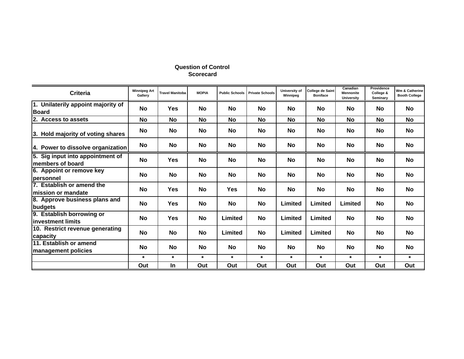| <b>Criteria</b>                                      | <b>Winnipeg Art</b><br>Gallery | <b>Travel Manitoba</b> | <b>MOPIA</b> | <b>Public Schools</b> | <b>Private Schools</b> | University of<br>Winnipeg | College de Saint<br><b>Boniface</b> | Canadian<br><b>Mennonite</b><br>University | Providence<br>College &<br>Seminary | Wm & Catherine<br><b>Booth College</b> |
|------------------------------------------------------|--------------------------------|------------------------|--------------|-----------------------|------------------------|---------------------------|-------------------------------------|--------------------------------------------|-------------------------------------|----------------------------------------|
| 1. Unilaterily appoint majority of<br><b>Board</b>   | <b>No</b>                      | <b>Yes</b>             | No           | No                    | <b>No</b>              | <b>No</b>                 | <b>No</b>                           | No                                         | No                                  | No                                     |
| 2. Access to assets                                  | <b>No</b>                      | <b>No</b>              | No           | <b>No</b>             | <b>No</b>              | <b>No</b>                 | <b>No</b>                           | <b>No</b>                                  | <b>No</b>                           | No                                     |
| 3. Hold majority of voting shares                    | <b>No</b>                      | No                     | No           | No                    | <b>No</b>              | No                        | <b>No</b>                           | <b>No</b>                                  | No                                  | No                                     |
| 4. Power to dissolve organization                    | No                             | No                     | No           | No                    | <b>No</b>              | No                        | No                                  | <b>No</b>                                  | No                                  | No                                     |
| 5. Sig input into appointment of<br>members of board | <b>No</b>                      | <b>Yes</b>             | <b>No</b>    | No                    | <b>No</b>              | <b>No</b>                 | No                                  | <b>No</b>                                  | No                                  | <b>No</b>                              |
| 6. Appoint or remove key<br>personnel                | No                             | <b>No</b>              | No           | No                    | <b>No</b>              | No                        | <b>No</b>                           | <b>No</b>                                  | No                                  | <b>No</b>                              |
| 7. Establish or amend the<br>lmission or mandate     | No                             | <b>Yes</b>             | <b>No</b>    | <b>Yes</b>            | <b>No</b>              | <b>No</b>                 | No                                  | <b>No</b>                                  | No                                  | <b>No</b>                              |
| 8. Approve business plans and<br>budgets             | No                             | <b>Yes</b>             | No           | No                    | No                     | Limited                   | Limited                             | Limited                                    | No                                  | <b>No</b>                              |
| 9. Establish borrowing or<br>linvestment limits      | No                             | <b>Yes</b>             | No           | Limited               | <b>No</b>              | Limited                   | Limited                             | <b>No</b>                                  | No                                  | No                                     |
| 10. Restrict revenue generating<br>capacity          | <b>No</b>                      | No                     | No           | Limited               | <b>No</b>              | Limited                   | Limited                             | <b>No</b>                                  | <b>No</b>                           | No                                     |
| 11. Establish or amend<br>management policies        | No                             | No                     | No           | No                    | <b>No</b>              | <b>No</b>                 | <b>No</b>                           | <b>No</b>                                  | <b>No</b>                           | No                                     |
|                                                      | $\star$                        | $\star$                | $\star$      | $\star$               | $\star$                | $\star$                   | $\star$                             | $\star$                                    | $\star$                             | $\star$                                |
|                                                      | Out                            | In                     | Out          | Out                   | Out                    | Out                       | Out                                 | Out                                        | Out                                 | Out                                    |